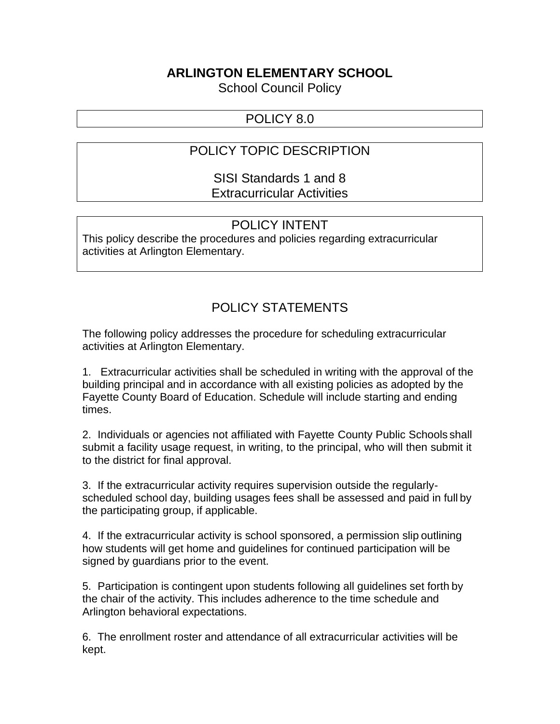### **ARLINGTON ELEMENTARY SCHOOL**

School Council Policy

### POLICY 8.0

## POLICY TOPIC DESCRIPTION

SISI Standards 1 and 8 Extracurricular Activities

### POLICY INTENT

This policy describe the procedures and policies regarding extracurricular activities at Arlington Elementary.

# POLICY STATEMENTS

The following policy addresses the procedure for scheduling extracurricular activities at Arlington Elementary.

1. Extracurricular activities shall be scheduled in writing with the approval of the building principal and in accordance with all existing policies as adopted by the Fayette County Board of Education. Schedule will include starting and ending times.

2. Individuals or agencies not affiliated with Fayette County Public Schools shall submit a facility usage request, in writing, to the principal, who will then submit it to the district for final approval.

3. If the extracurricular activity requires supervision outside the regularlyscheduled school day, building usages fees shall be assessed and paid in full by the participating group, if applicable.

4. If the extracurricular activity is school sponsored, a permission slip outlining how students will get home and guidelines for continued participation will be signed by guardians prior to the event.

5. Participation is contingent upon students following all guidelines set forth by the chair of the activity. This includes adherence to the time schedule and Arlington behavioral expectations.

6. The enrollment roster and attendance of all extracurricular activities will be kept.